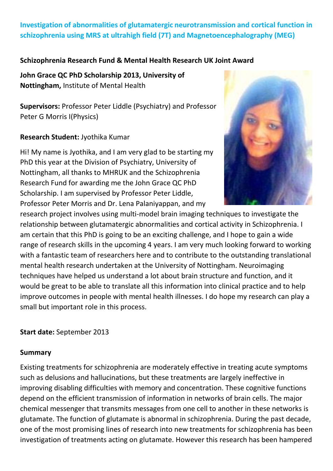# **Investigation of abnormalities of glutamatergic neurotransmission and cortical function in schizophrenia using MRS at ultrahigh field (7T) and Magnetoencephalography (MEG)**

### **Schizophrenia Research Fund & Mental Health Research UK Joint Award**

**John Grace QC PhD Scholarship 2013, University of Nottingham,** Institute of Mental Health

**Supervisors:** Professor Peter Liddle (Psychiatry) and Professor Peter G Morris I(Physics)

### **Research Student:** Jyothika Kumar

Hi! My name is Jyothika, and I am very glad to be starting my PhD this year at the Division of Psychiatry, University of Nottingham, all thanks to MHRUK and the Schizophrenia Research Fund for awarding me the John Grace QC PhD Scholarship. I am supervised by Professor Peter Liddle, Professor Peter Morris and Dr. Lena Palaniyappan, and my



research project involves using multi-model brain imaging techniques to investigate the relationship between glutamatergic abnormalities and cortical activity in Schizophrenia. I am certain that this PhD is going to be an exciting challenge, and I hope to gain a wide range of research skills in the upcoming 4 years. I am very much looking forward to working with a fantastic team of researchers here and to contribute to the outstanding translational mental health research undertaken at the University of Nottingham. Neuroimaging techniques have helped us understand a lot about brain structure and function, and it would be great to be able to translate all this information into clinical practice and to help improve outcomes in people with mental health illnesses. I do hope my research can play a small but important role in this process.

#### **Start date:** September 2013

#### **Summary**

Existing treatments for schizophrenia are moderately effective in treating acute symptoms such as delusions and hallucinations, but these treatments are largely ineffective in improving disabling difficulties with memory and concentration. These cognitive functions depend on the efficient transmission of information in networks of brain cells. The major chemical messenger that transmits messages from one cell to another in these networks is glutamate. The function of glutamate is abnormal in schizophrenia. During the past decade, one of the most promising lines of research into new treatments for schizophrenia has been investigation of treatments acting on glutamate. However this research has been hampered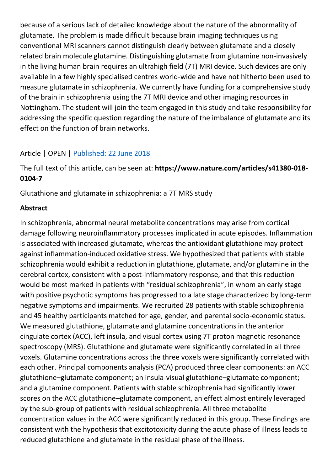because of a serious lack of detailed knowledge about the nature of the abnormality of glutamate. The problem is made difficult because brain imaging techniques using conventional MRI scanners cannot distinguish clearly between glutamate and a closely related brain molecule glutamine. Distinguishing glutamate from glutamine non-invasively in the living human brain requires an ultrahigh field (7T) MRI device. Such devices are only available in a few highly specialised centres world-wide and have not hitherto been used to measure glutamate in schizophrenia. We currently have funding for a comprehensive study of the brain in schizophrenia using the 7T MRI device and other imaging resources in Nottingham. The student will join the team engaged in this study and take responsibility for addressing the specific question regarding the nature of the imbalance of glutamate and its effect on the function of brain networks.

### Article | OPEN | Published: [22 June 2018](https://www.nature.com/articles/s41380-018-0104-7#article-info)

The full text of this article, can be seen at: **https://www.nature.com/articles/s41380-018- 0104-7**

Glutathione and glutamate in schizophrenia: a 7T MRS study

#### **Abstract**

In schizophrenia, abnormal neural metabolite concentrations may arise from cortical damage following neuroinflammatory processes implicated in acute episodes. Inflammation is associated with increased glutamate, whereas the antioxidant glutathione may protect against inflammation-induced oxidative stress. We hypothesized that patients with stable schizophrenia would exhibit a reduction in glutathione, glutamate, and/or glutamine in the cerebral cortex, consistent with a post-inflammatory response, and that this reduction would be most marked in patients with "residual schizophrenia", in whom an early stage with positive psychotic symptoms has progressed to a late stage characterized by long-term negative symptoms and impairments. We recruited 28 patients with stable schizophrenia and 45 healthy participants matched for age, gender, and parental socio-economic status. We measured glutathione, glutamate and glutamine concentrations in the anterior cingulate cortex (ACC), left insula, and visual cortex using 7T proton magnetic resonance spectroscopy (MRS). Glutathione and glutamate were significantly correlated in all three voxels. Glutamine concentrations across the three voxels were significantly correlated with each other. Principal components analysis (PCA) produced three clear components: an ACC glutathione–glutamate component; an insula-visual glutathione–glutamate component; and a glutamine component. Patients with stable schizophrenia had significantly lower scores on the ACC glutathione–glutamate component, an effect almost entirely leveraged by the sub-group of patients with residual schizophrenia. All three metabolite concentration values in the ACC were significantly reduced in this group. These findings are consistent with the hypothesis that excitotoxicity during the acute phase of illness leads to reduced glutathione and glutamate in the residual phase of the illness.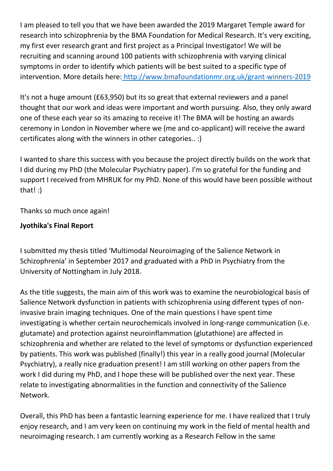I am pleased to tell you that we have been awarded the 2019 Margaret Temple award for research into schizophrenia by the BMA Foundation for Medical Research. It's very exciting, my first ever research grant and first project as a Principal Investigator! We will be recruiting and scanning around 100 patients with schizophrenia with varying clinical symptoms in order to identify which patients will be best suited to a specific type of intervention. More details here: <http://www.bmafoundationmr.org.uk/grant-winners-2019>

It's not a huge amount (£63,950) but its so great that external reviewers and a panel thought that our work and ideas were important and worth pursuing. Also, they only award one of these each year so its amazing to receive it! The BMA will be hosting an awards ceremony in London in November where we (me and co-applicant) will receive the award certificates along with the winners in other categories.. :)

I wanted to share this success with you because the project directly builds on the work that I did during my PhD (the Molecular Psychiatry paper). I'm so grateful for the funding and support I received from MHRUK for my PhD. None of this would have been possible without that! :)

Thanks so much once again!

## **Jyothika's Final Report**

I submitted my thesis titled 'Multimodal Neuroimaging of the Salience Network in Schizophrenia' in September 2017 and graduated with a PhD in Psychiatry from the University of Nottingham in July 2018.

As the title suggests, the main aim of this work was to examine the neurobiological basis of Salience Network dysfunction in patients with schizophrenia using different types of noninvasive brain imaging techniques. One of the main questions I have spent time investigating is whether certain neurochemicals involved in long-range communication (i.e. glutamate) and protection against neuroinflammation (glutathione) are affected in schizophrenia and whether are related to the level of symptoms or dysfunction experienced by patients. This work was published (finally!) this year in a really good journal (Molecular Psychiatry), a really nice graduation present! I am still working on other papers from the work I did during my PhD, and I hope these will be published over the next year. These relate to investigating abnormalities in the function and connectivity of the Salience Network.

Overall, this PhD has been a fantastic learning experience for me. I have realized that I truly enjoy research, and I am very keen on continuing my work in the field of mental health and neuroimaging research. I am currently working as a Research Fellow in the same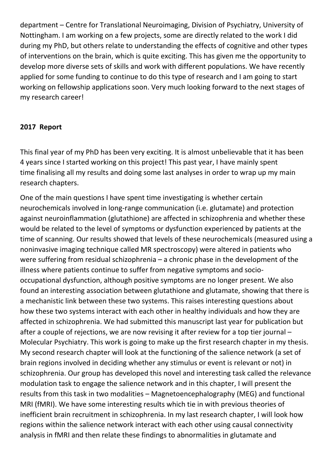department – Centre for Translational Neuroimaging, Division of Psychiatry, University of Nottingham. I am working on a few projects, some are directly related to the work I did during my PhD, but others relate to understanding the effects of cognitive and other types of interventions on the brain, which is quite exciting. This has given me the opportunity to develop more diverse sets of skills and work with different populations. We have recently applied for some funding to continue to do this type of research and I am going to start working on fellowship applications soon. Very much looking forward to the next stages of my research career!

#### **2017 Report**

This final year of my PhD has been very exciting. It is almost unbelievable that it has been 4 years since I started working on this project! This past year, I have mainly spent time finalising all my results and doing some last analyses in order to wrap up my main research chapters.

One of the main questions I have spent time investigating is whether certain neurochemicals involved in long-range communication (i.e. glutamate) and protection against neuroinflammation (glutathione) are affected in schizophrenia and whether these would be related to the level of symptoms or dysfunction experienced by patients at the time of scanning. Our results showed that levels of these neurochemicals (measured using a noninvasive imaging technique called MR spectroscopy) were altered in patients who were suffering from residual schizophrenia – a chronic phase in the development of the illness where patients continue to suffer from negative symptoms and sociooccupational dysfunction, although positive symptoms are no longer present. We also found an interesting association between glutathione and glutamate, showing that there is a mechanistic link between these two systems. This raises interesting questions about how these two systems interact with each other in healthy individuals and how they are affected in schizophrenia. We had submitted this manuscript last year for publication but after a couple of rejections, we are now revising it after review for a top tier journal – Molecular Psychiatry. This work is going to make up the first research chapter in my thesis. My second research chapter will look at the functioning of the salience network (a set of brain regions involved in deciding whether any stimulus or event is relevant or not) in schizophrenia. Our group has developed this novel and interesting task called the relevance modulation task to engage the salience network and in this chapter, I will present the results from this task in two modalities – Magnetoencephalography (MEG) and functional MRI (fMRI). We have some interesting results which tie in with previous theories of inefficient brain recruitment in schizophrenia. In my last research chapter, I will look how regions within the salience network interact with each other using causal connectivity analysis in fMRI and then relate these findings to abnormalities in glutamate and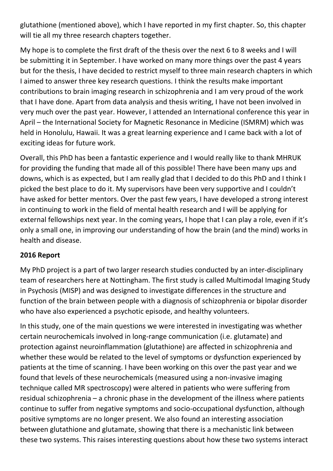glutathione (mentioned above), which I have reported in my first chapter. So, this chapter will tie all my three research chapters together.

My hope is to complete the first draft of the thesis over the next 6 to 8 weeks and I will be submitting it in September. I have worked on many more things over the past 4 years but for the thesis, I have decided to restrict myself to three main research chapters in which I aimed to answer three key research questions. I think the results make important contributions to brain imaging research in schizophrenia and I am very proud of the work that I have done. Apart from data analysis and thesis writing, I have not been involved in very much over the past year. However, I attended an International conference this year in April – the International Society for Magnetic Resonance in Medicine (ISMRM) which was held in Honolulu, Hawaii. It was a great learning experience and I came back with a lot of exciting ideas for future work.

Overall, this PhD has been a fantastic experience and I would really like to thank MHRUK for providing the funding that made all of this possible! There have been many ups and downs, which is as expected, but I am really glad that I decided to do this PhD and I think I picked the best place to do it. My supervisors have been very supportive and I couldn't have asked for better mentors. Over the past few years, I have developed a strong interest in continuing to work in the field of mental health research and I will be applying for external fellowships next year. In the coming years, I hope that I can play a role, even if it's only a small one, in improving our understanding of how the brain (and the mind) works in health and disease.

### **2016 Report**

My PhD project is a part of two larger research studies conducted by an inter-disciplinary team of researchers here at Nottingham. The first study is called Multimodal Imaging Study in Psychosis (MISP) and was designed to investigate differences in the structure and function of the brain between people with a diagnosis of schizophrenia or bipolar disorder who have also experienced a psychotic episode, and healthy volunteers.

In this study, one of the main questions we were interested in investigating was whether certain neurochemicals involved in long-range communication (i.e. glutamate) and protection against neuroinflammation (glutathione) are affected in schizophrenia and whether these would be related to the level of symptoms or dysfunction experienced by patients at the time of scanning. I have been working on this over the past year and we found that levels of these neurochemicals (measured using a non-invasive imaging technique called MR spectroscopy) were altered in patients who were suffering from residual schizophrenia – a chronic phase in the development of the illness where patients continue to suffer from negative symptoms and socio-occupational dysfunction, although positive symptoms are no longer present. We also found an interesting association between glutathione and glutamate, showing that there is a mechanistic link between these two systems. This raises interesting questions about how these two systems interact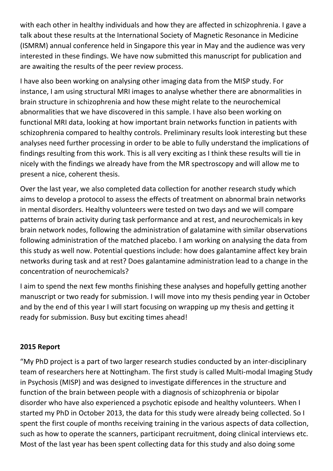with each other in healthy individuals and how they are affected in schizophrenia. I gave a talk about these results at the International Society of Magnetic Resonance in Medicine (ISMRM) annual conference held in Singapore this year in May and the audience was very interested in these findings. We have now submitted this manuscript for publication and are awaiting the results of the peer review process.

I have also been working on analysing other imaging data from the MISP study. For instance, I am using structural MRI images to analyse whether there are abnormalities in brain structure in schizophrenia and how these might relate to the neurochemical abnormalities that we have discovered in this sample. I have also been working on functional MRI data, looking at how important brain networks function in patients with schizophrenia compared to healthy controls. Preliminary results look interesting but these analyses need further processing in order to be able to fully understand the implications of findings resulting from this work. This is all very exciting as I think these results will tie in nicely with the findings we already have from the MR spectroscopy and will allow me to present a nice, coherent thesis.

Over the last year, we also completed data collection for another research study which aims to develop a protocol to assess the effects of treatment on abnormal brain networks in mental disorders. Healthy volunteers were tested on two days and we will compare patterns of brain activity during task performance and at rest, and neurochemicals in key brain network nodes, following the administration of galatamine with similar observations following administration of the matched placebo. I am working on analysing the data from this study as well now. Potential questions include: how does galantamine affect key brain networks during task and at rest? Does galantamine administration lead to a change in the concentration of neurochemicals?

I aim to spend the next few months finishing these analyses and hopefully getting another manuscript or two ready for submission. I will move into my thesis pending year in October and by the end of this year I will start focusing on wrapping up my thesis and getting it ready for submission. Busy but exciting times ahead!

### **2015 Report**

"My PhD project is a part of two larger research studies conducted by an inter-disciplinary team of researchers here at Nottingham. The first study is called Multi-modal Imaging Study in Psychosis (MISP) and was designed to investigate differences in the structure and function of the brain between people with a diagnosis of schizophrenia or bipolar disorder who have also experienced a psychotic episode and healthy volunteers. When I started my PhD in October 2013, the data for this study were already being collected. So I spent the first couple of months receiving training in the various aspects of data collection, such as how to operate the scanners, participant recruitment, doing clinical interviews etc. Most of the last year has been spent collecting data for this study and also doing some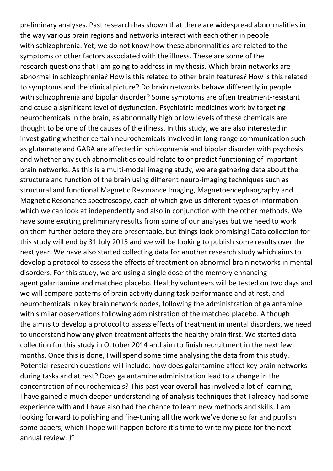preliminary analyses. Past research has shown that there are widespread abnormalities in the way various brain regions and networks interact with each other in people with schizophrenia. Yet, we do not know how these abnormalities are related to the symptoms or other factors associated with the illness. These are some of the research questions that I am going to address in my thesis. Which brain networks are abnormal in schizophrenia? How is this related to other brain features? How is this related to symptoms and the clinical picture? Do brain networks behave differently in people with schizophrenia and bipolar disorder? Some symptoms are often treatment-resistant and cause a significant level of dysfunction. Psychiatric medicines work by targeting neurochemicals in the brain, as abnormally high or low levels of these chemicals are thought to be one of the causes of the illness. In this study, we are also interested in investigating whether certain neurochemicals involved in long-range communication such as glutamate and GABA are affected in schizophrenia and bipolar disorder with psychosis and whether any such abnormalities could relate to or predict functioning of important brain networks. As this is a multi-modal imaging study, we are gathering data about the structure and function of the brain using different neuro-imaging techniques such as structural and functional Magnetic Resonance Imaging, Magnetoencephaography and Magnetic Resonance spectroscopy, each of which give us different types of information which we can look at independently and also in conjunction with the other methods. We have some exciting preliminary results from some of our analyses but we need to work on them further before they are presentable, but things look promising! Data collection for this study will end by 31 July 2015 and we will be looking to publish some results over the next year. We have also started collecting data for another research study which aims to develop a protocol to assess the effects of treatment on abnormal brain networks in mental disorders. For this study, we are using a single dose of the memory enhancing agent galantamine and matched placebo. Healthy volunteers will be tested on two days and we will compare patterns of brain activity during task performance and at rest, and neurochemicals in key brain network nodes, following the administration of galantamine with similar observations following administration of the matched placebo. Although the aim is to develop a protocol to assess effects of treatment in mental disorders, we need to understand how any given treatment affects the healthy brain first. We started data collection for this study in October 2014 and aim to finish recruitment in the next few months. Once this is done, I will spend some time analysing the data from this study. Potential research questions will include: how does galantamine affect key brain networks during tasks and at rest? Does galantamine administration lead to a change in the concentration of neurochemicals? This past year overall has involved a lot of learning, I have gained a much deeper understanding of analysis techniques that I already had some experience with and I have also had the chance to learn new methods and skills. I am looking forward to polishing and fine-tuning all the work we've done so far and publish some papers, which I hope will happen before it's time to write my piece for the next annual review. J"